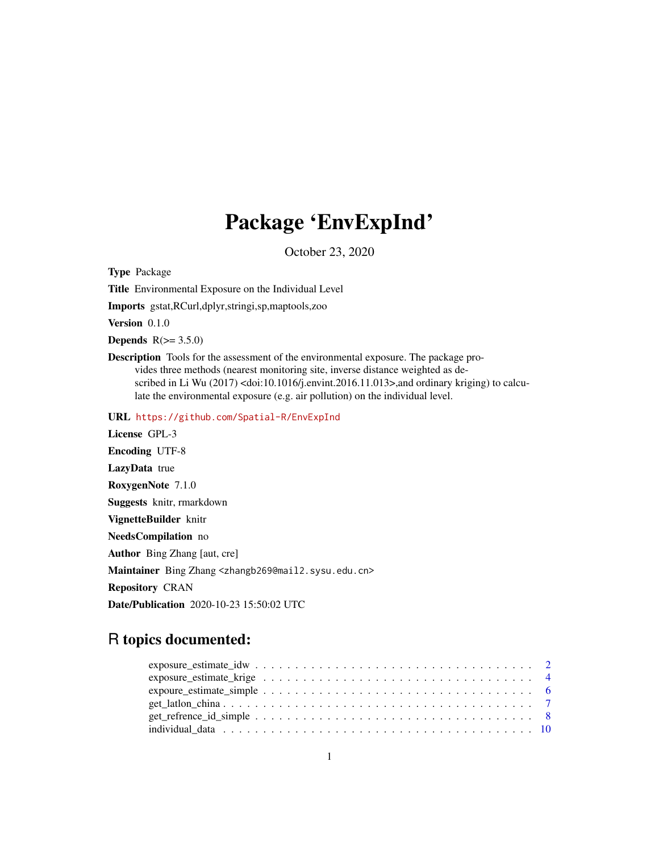## Package 'EnvExpInd'

October 23, 2020

Type Package Title Environmental Exposure on the Individual Level Imports gstat,RCurl,dplyr,stringi,sp,maptools,zoo Version 0.1.0 Depends  $R(>= 3.5.0)$ Description Tools for the assessment of the environmental exposure. The package provides three methods (nearest monitoring site, inverse distance weighted as described in Li Wu (2017) <doi:10.1016/j.envint.2016.11.013>,and ordinary kriging) to calculate the environmental exposure (e.g. air pollution) on the individual level. URL <https://github.com/Spatial-R/EnvExpInd> License GPL-3 Encoding UTF-8 LazyData true RoxygenNote 7.1.0 Suggests knitr, rmarkdown VignetteBuilder knitr NeedsCompilation no Author Bing Zhang [aut, cre] Maintainer Bing Zhang <zhangb269@mail2.sysu.edu.cn>

Repository CRAN

Date/Publication 2020-10-23 15:50:02 UTC

## R topics documented:

| $get\_reference_id\_simple8$ |  |  |  |  |  |  |  |  |  |  |  |  |  |  |  |  |  |
|------------------------------|--|--|--|--|--|--|--|--|--|--|--|--|--|--|--|--|--|
|                              |  |  |  |  |  |  |  |  |  |  |  |  |  |  |  |  |  |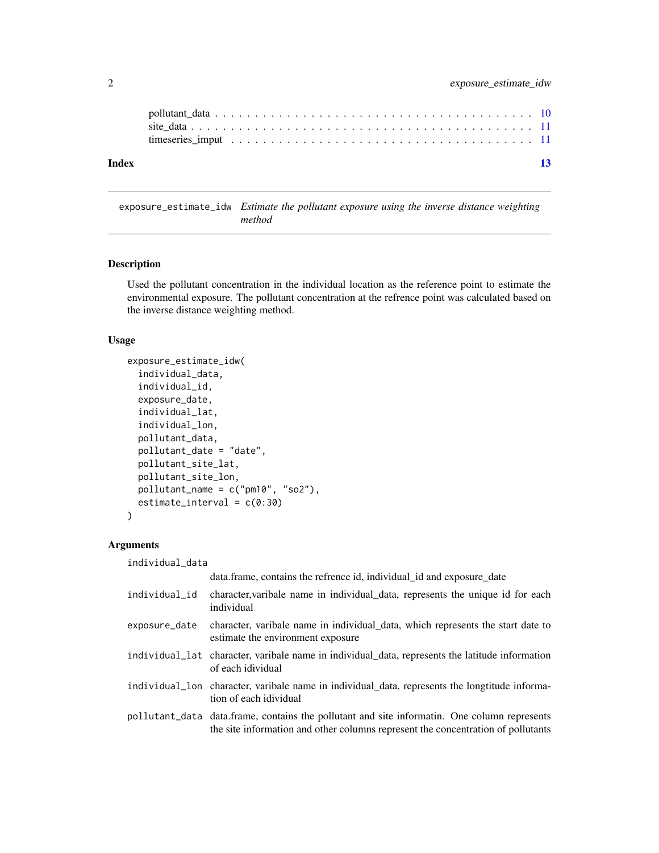<span id="page-1-0"></span>

| Index |  |  |  |  |  |  |  |  |  |  |  |  |  |  | 13 |
|-------|--|--|--|--|--|--|--|--|--|--|--|--|--|--|----|
|       |  |  |  |  |  |  |  |  |  |  |  |  |  |  |    |
|       |  |  |  |  |  |  |  |  |  |  |  |  |  |  |    |

exposure\_estimate\_idw *Estimate the pollutant exposure using the inverse distance weighting method*

#### Description

Used the pollutant concentration in the individual location as the reference point to estimate the environmental exposure. The pollutant concentration at the refrence point was calculated based on the inverse distance weighting method.

#### Usage

```
exposure_estimate_idw(
  individual_data,
  individual_id,
  exposure_date,
  individual_lat,
  individual_lon,
  pollutant_data,
  pollutant_date = "date",
  pollutant_site_lat,
  pollutant_site_lon,
  pollutant_name = c("pm10", "so2"),
  estimate_interval = c(0:30)\mathcal{L}
```
#### Arguments

| individual_data |                                                                                                                                                                                  |
|-----------------|----------------------------------------------------------------------------------------------------------------------------------------------------------------------------------|
|                 | data.frame, contains the refrence id, individual id and exposure date                                                                                                            |
| individual_id   | character, varibale name in individual_data, represents the unique id for each<br>individual                                                                                     |
| exposure_date   | character, varibale name in individual data, which represents the start date to<br>estimate the environment exposure                                                             |
|                 | individual_lat character, varibale name in individual_data, represents the latitude information<br>of each idividual                                                             |
|                 | individual_lon character, varibale name in individual_data, represents the longtitude informa-<br>tion of each idividual                                                         |
|                 | pollutant_data data.frame, contains the pollutant and site informatin. One column represents<br>the site information and other columns represent the concentration of pollutants |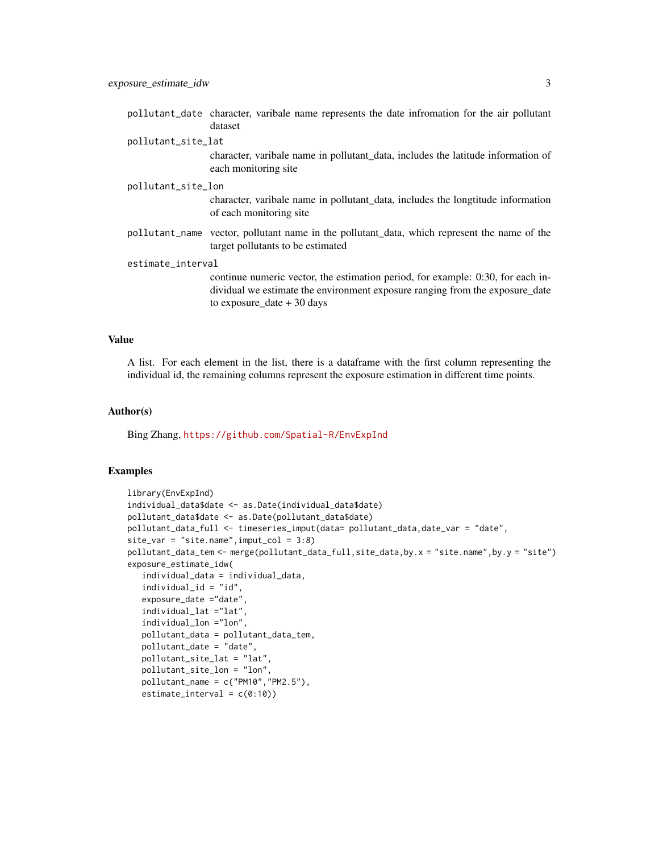|                    |                    | pollutant_date character, varibale name represents the date infromation for the air pollutant<br>dataset                                                                                                                                                                                                                                                                       |  |  |  |  |
|--------------------|--------------------|--------------------------------------------------------------------------------------------------------------------------------------------------------------------------------------------------------------------------------------------------------------------------------------------------------------------------------------------------------------------------------|--|--|--|--|
|                    | pollutant_site_lat |                                                                                                                                                                                                                                                                                                                                                                                |  |  |  |  |
|                    |                    | character, varibale name in pollutant_data, includes the latitude information of<br>each monitoring site                                                                                                                                                                                                                                                                       |  |  |  |  |
| pollutant_site_lon |                    |                                                                                                                                                                                                                                                                                                                                                                                |  |  |  |  |
|                    |                    | character, varibale name in pollutant_data, includes the longtitude information<br>of each monitoring site.                                                                                                                                                                                                                                                                    |  |  |  |  |
|                    |                    | pollutant_name vector, pollutant name in the pollutant_data, which represent the name of the<br>target pollutants to be estimated                                                                                                                                                                                                                                              |  |  |  |  |
|                    | estimate_interval  |                                                                                                                                                                                                                                                                                                                                                                                |  |  |  |  |
|                    |                    | continue numeric vector, the estimation period, for example: 0:30, for each in-<br>$1!$ , $11$ . The contract of the contract of the contract of the contract $\mathfrak{g}_n$ , $\mathfrak{g}_n$ , $\mathfrak{g}_n$ , $\mathfrak{g}_n$ , $\mathfrak{g}_n$ , $\mathfrak{g}_n$ , $\mathfrak{g}_n$ , $\mathfrak{g}_n$ , $\mathfrak{g}_n$ , $\mathfrak{g}_n$ , $\mathfrak{g}_n$ , |  |  |  |  |

dividual we estimate the environment exposure ranging from the exposure\_date to exposure\_date + 30 days

#### Value

A list. For each element in the list, there is a dataframe with the first column representing the individual id, the remaining columns represent the exposure estimation in different time points.

#### Author(s)

Bing Zhang, <https://github.com/Spatial-R/EnvExpInd>

```
library(EnvExpInd)
individual_data$date <- as.Date(individual_data$date)
pollutant_data$date <- as.Date(pollutant_data$date)
pollutant_data_full <- timeseries_imput(data= pollutant_data,date_var = "date",
site_var = "site.name",imput_col = 3:8)
pollutant_data_tem <- merge(pollutant_data_full,site_data,by.x = "site.name",by.y = "site")
exposure_estimate_idw(
   individual_data = individual_data,
   individual_id = "id",
   exposure_date ="date",
   individual_lat ="lat",
   individual_lon ="lon",
   pollutant_data = pollutant_data_tem,
   pollutant_date = "date",
   pollutant_site_lat = "lat",
   pollutant_site_lon = "lon",
   pollutant_name = c("PM10","PM2.5"),
   estimate_interval = c(0:10))
```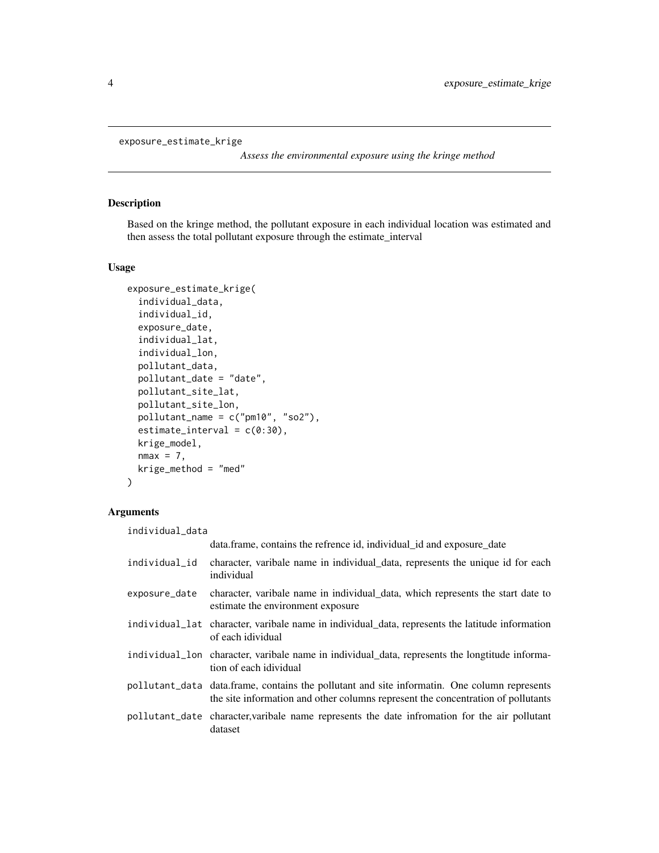```
exposure_estimate_krige
```
*Assess the environmental exposure using the kringe method*

#### Description

Based on the kringe method, the pollutant exposure in each individual location was estimated and then assess the total pollutant exposure through the estimate\_interval

#### Usage

```
exposure_estimate_krige(
  individual_data,
  individual_id,
  exposure_date,
  individual_lat,
  individual_lon,
  pollutant_data,
 pollutant_date = "date",
 pollutant_site_lat,
  pollutant_site_lon,
  pollutant_name = c("pm10", "so2"),estimate\_interval = c(0:30),
  krige_model,
  nmax = 7,
  krige_method = "med"
)
```
#### Arguments

individual\_data

|               | data.frame, contains the refrence id, individual id and exposure date                                                                                                            |
|---------------|----------------------------------------------------------------------------------------------------------------------------------------------------------------------------------|
| individual_id | character, varibale name in individual data, represents the unique id for each<br>individual                                                                                     |
| exposure_date | character, varibale name in individual data, which represents the start date to<br>estimate the environment exposure                                                             |
|               | individual_lat character, varibale name in individual_data, represents the latitude information<br>of each idividual                                                             |
|               | individual_lon character, varibale name in individual_data, represents the longtitude informa-<br>tion of each idividual                                                         |
|               | pollutant_data data.frame, contains the pollutant and site informatin. One column represents<br>the site information and other columns represent the concentration of pollutants |
|               | pollutant_date character, varibale name represents the date infromation for the air pollutant<br>dataset                                                                         |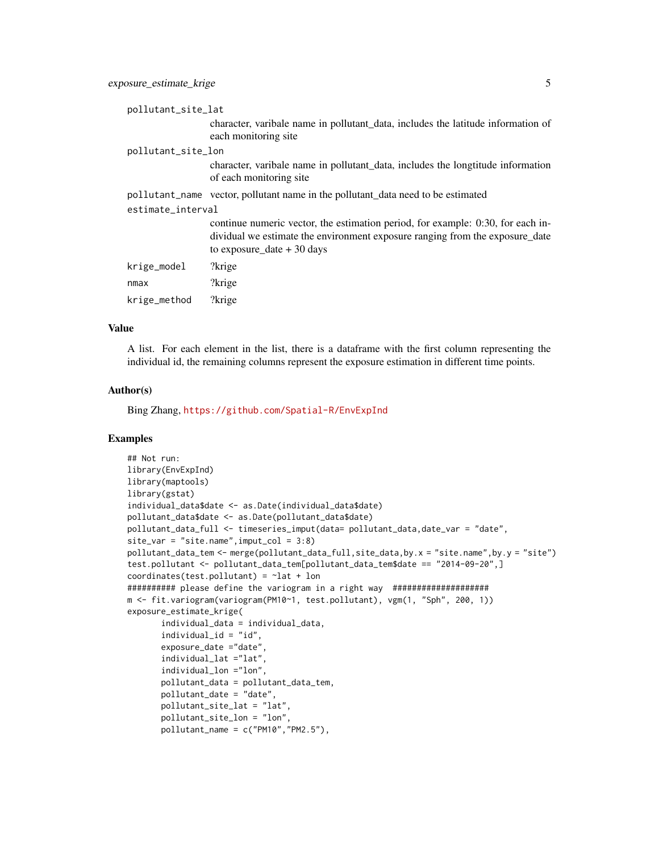| pollutant_site_lat |                                                                                                                                                                                                |
|--------------------|------------------------------------------------------------------------------------------------------------------------------------------------------------------------------------------------|
|                    | character, varibale name in pollutant_data, includes the latitude information of<br>each monitoring site                                                                                       |
| pollutant_site_lon |                                                                                                                                                                                                |
|                    | character, varibale name in pollutant_data, includes the longitude information<br>of each monitoring site                                                                                      |
|                    | pollutant_name vector, pollutant name in the pollutant_data need to be estimated                                                                                                               |
| estimate_interval  |                                                                                                                                                                                                |
|                    | continue numeric vector, the estimation period, for example: 0:30, for each in-<br>dividual we estimate the environment exposure ranging from the exposure_date<br>to exposure_date $+30$ days |
| krige_model        | ?krige                                                                                                                                                                                         |
| nmax               | ?krige                                                                                                                                                                                         |
| krige_method       | ?krige                                                                                                                                                                                         |

#### Value

A list. For each element in the list, there is a dataframe with the first column representing the individual id, the remaining columns represent the exposure estimation in different time points.

#### Author(s)

Bing Zhang, <https://github.com/Spatial-R/EnvExpInd>

```
## Not run:
library(EnvExpInd)
library(maptools)
library(gstat)
individual_data$date <- as.Date(individual_data$date)
pollutant_data$date <- as.Date(pollutant_data$date)
pollutant_data_full <- timeseries_imput(data= pollutant_data,date_var = "date",
site_var = "site.name",imput_col = 3:8)
pollutant_data_tem <- merge(pollutant_data_full,site_data,by.x = "site.name",by.y = "site")
test.pollutant <- pollutant_data_tem[pollutant_data_tem$date == "2014-09-20",]
coordinates(test.pollutant) = \neglat + lon
########## please define the variogram in a right way ####################
m <- fit.variogram(variogram(PM10~1, test.pollutant), vgm(1, "Sph", 200, 1))
exposure_estimate_krige(
       individual_data = individual_data,
       individual_id = "id",
       exposure_date ="date",
       individual_lat ="lat",
       individual_lon ="lon",
       pollutant_data = pollutant_data_tem,
       pollutant_date = "date",
       pollutant_site_lat = "lat",
       pollutant_site_lon = "lon",
       pollutant_name = c("PM10","PM2.5"),
```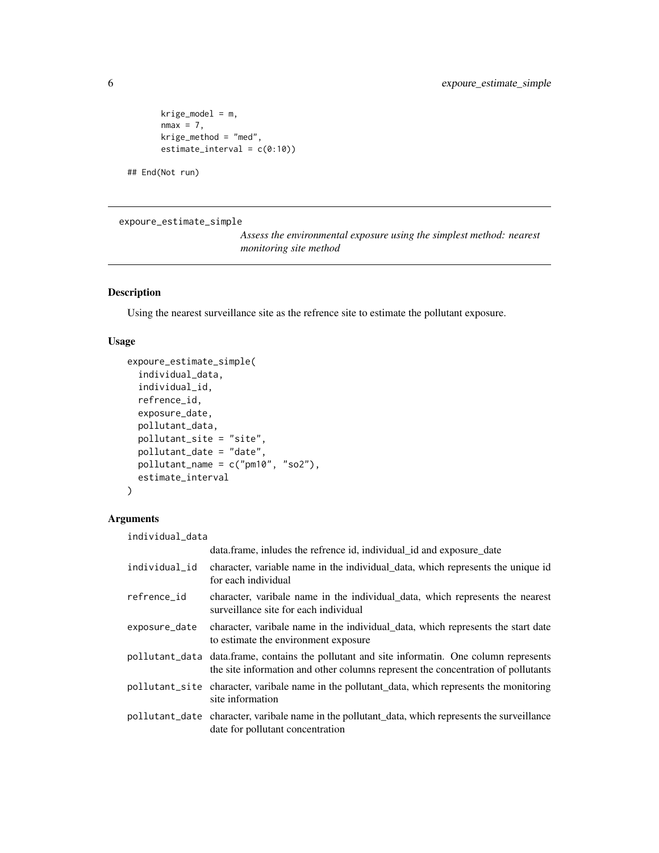```
krige_model = m,
nmax = 7,
krige_method = "med",
estimate_interval = c(0:10))
```
## End(Not run)

expoure\_estimate\_simple

*Assess the environmental exposure using the simplest method: nearest monitoring site method*

#### Description

Using the nearest surveillance site as the refrence site to estimate the pollutant exposure.

#### Usage

```
expoure_estimate_simple(
  individual_data,
  individual_id,
  refrence_id,
  exposure_date,
  pollutant_data,
  pollutant_site = "site",
 pollutant_date = "date",
 pollutant_name = c("pm10", "so2"),
  estimate_interval
)
```
#### Arguments

individual\_data

|               | data.frame, inludes the refrence id, individual_id and exposure_date                                                                                                             |
|---------------|----------------------------------------------------------------------------------------------------------------------------------------------------------------------------------|
| individual_id | character, variable name in the individual data, which represents the unique id<br>for each individual                                                                           |
| refrence_id   | character, varibale name in the individual data, which represents the nearest<br>surveillance site for each individual                                                           |
| exposure_date | character, varibale name in the individual data, which represents the start date<br>to estimate the environment exposure                                                         |
|               | pollutant_data data.frame, contains the pollutant and site informatin. One column represents<br>the site information and other columns represent the concentration of pollutants |
|               | pollutant_site character, varibale name in the pollutant_data, which represents the monitoring<br>site information                                                               |
|               | pollutant_date character, varibale name in the pollutant_data, which represents the surveillance<br>date for pollutant concentration                                             |

<span id="page-5-0"></span>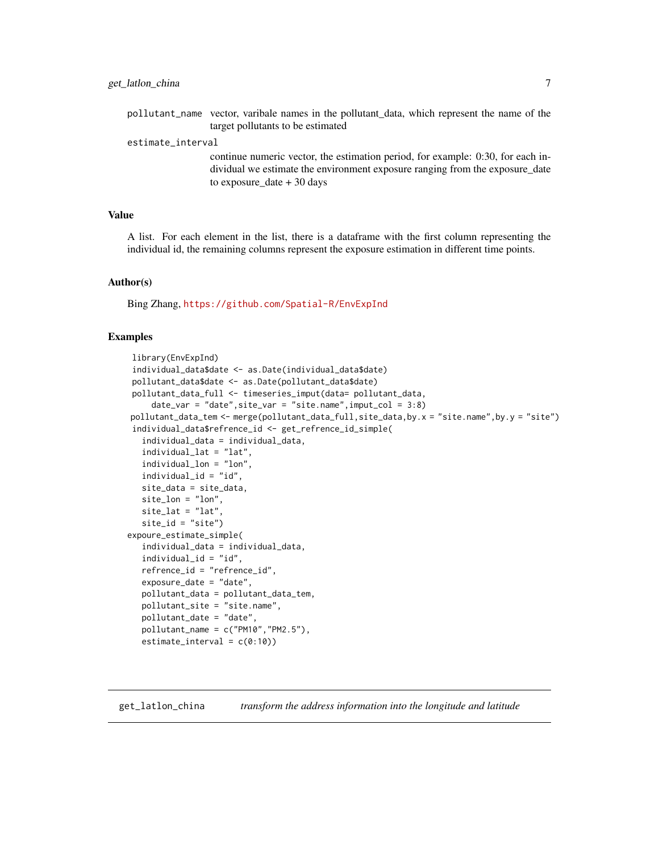- <span id="page-6-0"></span>pollutant\_name vector, varibale names in the pollutant\_data, which represent the name of the target pollutants to be estimated
- estimate\_interval

continue numeric vector, the estimation period, for example: 0:30, for each individual we estimate the environment exposure ranging from the exposure\_date to exposure\_date + 30 days

#### Value

A list. For each element in the list, there is a dataframe with the first column representing the individual id, the remaining columns represent the exposure estimation in different time points.

#### Author(s)

Bing Zhang, <https://github.com/Spatial-R/EnvExpInd>

#### Examples

```
library(EnvExpInd)
 individual_data$date <- as.Date(individual_data$date)
 pollutant_data$date <- as.Date(pollutant_data$date)
 pollutant_data_full <- timeseries_imput(data= pollutant_data,
     date\_var = "date",site\_var = "site.name", input\_col = 3:8)pollutant_data_tem <- merge(pollutant_data_full,site_data,by.x = "site.name",by.y = "site")
 individual_data$refrence_id <- get_refrence_id_simple(
   individual_data = individual_data,
   individual lat = "lat".
  individual_lon = "lon",
  individual_id = "id",
  site_data = site_data,
  site_lon = "lon",
  site\_lat = "lat",site_id = "site")expoure_estimate_simple(
  individual_data = individual_data,
   individual_id = "id",
  refrence_id = "refrence_id",
   exposure_date = "date",
  pollutant_data = pollutant_data_tem,
  pollutant_site = "site.name",
  pollutant_date = "date",
  pollutant_name = c("PM10","PM2.5"),
  estimate_interval = c(0:10))
```
get\_latlon\_china *transform the address information into the longitude and latitude*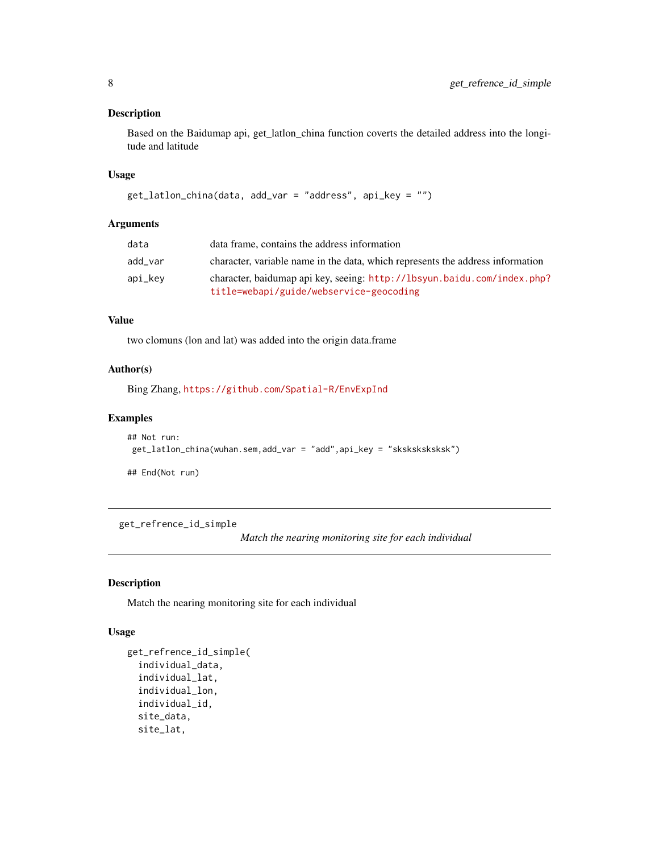#### <span id="page-7-0"></span>Description

Based on the Baidumap api, get\_latlon\_china function coverts the detailed address into the longitude and latitude

#### Usage

```
get_latlon_china(data, add_var = "address", api_key = "")
```
#### Arguments

| data    | data frame, contains the address information                                   |
|---------|--------------------------------------------------------------------------------|
| add var | character, variable name in the data, which represents the address information |
| api_kev | character, baidumap api key, seeing: http://lbsyun.baidu.com/index.php?        |
|         | title=webapi/guide/webservice-geocoding                                        |

#### Value

two clomuns (lon and lat) was added into the origin data.frame

#### Author(s)

Bing Zhang, <https://github.com/Spatial-R/EnvExpInd>

#### Examples

```
## Not run:
get_latlon_china(wuhan.sem,add_var = "add",api_key = "sksksksksksk")
```
## End(Not run)

get\_refrence\_id\_simple

*Match the nearing monitoring site for each individual*

#### Description

Match the nearing monitoring site for each individual

#### Usage

```
get_refrence_id_simple(
  individual_data,
  individual_lat,
  individual_lon,
  individual_id,
  site_data,
  site_lat,
```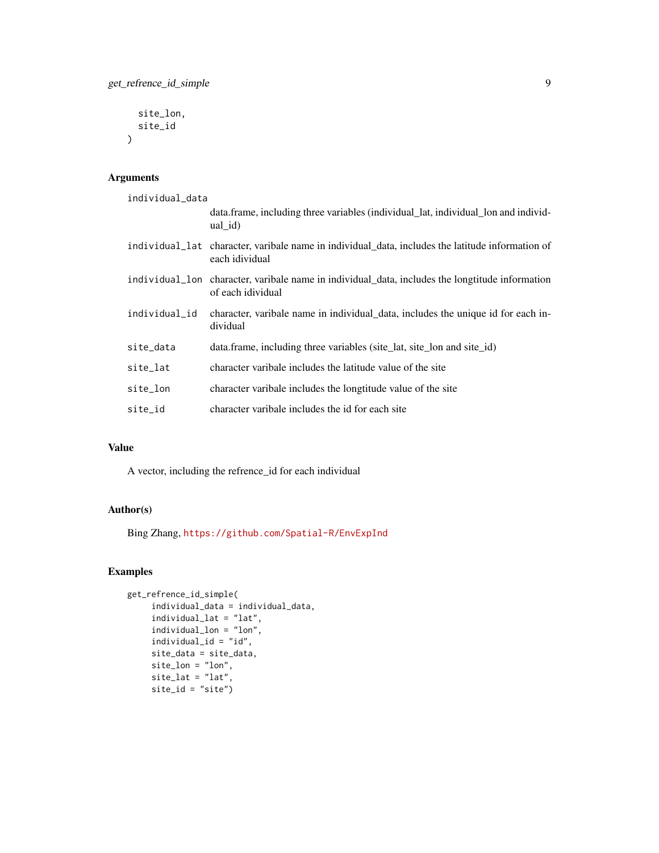```
site_lon,
  site_id
)
```
#### Arguments

```
individual_data
                  data.frame, including three variables (individual_lat, individual_lon and individ-
                  ual_id)
individual_lat character, varibale name in individual_data, includes the latitude information of
                  each idividual
individual_lon character, varibale name in individual_data, includes the longtitude information
                  of each idividual
individual_id character, varibale name in individual_data, includes the unique id for each in-
                  dividual
site_data data.frame, including three variables (site_lat, site_lon and site_id)
site_lat character varibale includes the latitude value of the site
site_lon character varibale includes the longtitude value of the site
site_id character varibale includes the id for each site
```
#### Value

A vector, including the refrence\_id for each individual

## Author(s)

Bing Zhang, <https://github.com/Spatial-R/EnvExpInd>

```
get_refrence_id_simple(
     individual_data = individual_data,
     individual_lat = "lat",
     individual_lon = "lon",
     individual_id = "id",
     site_data = site_data,
    site_lon = "lon",
    site_lat = "lat",
    site_id = "site")
```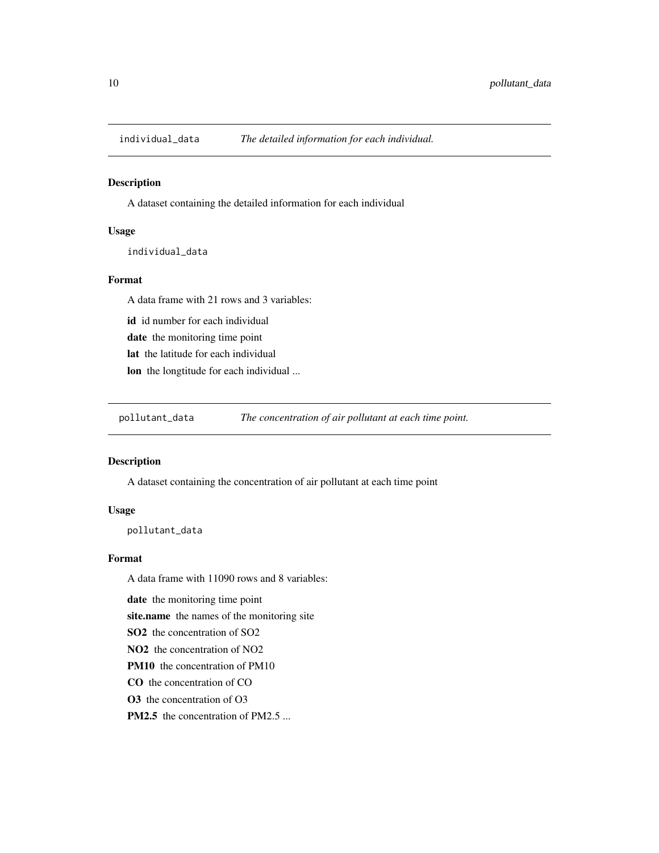<span id="page-9-0"></span>

#### Description

A dataset containing the detailed information for each individual

#### Usage

individual\_data

#### Format

A data frame with 21 rows and 3 variables:

id id number for each individual

date the monitoring time point

lat the latitude for each individual

lon the longtitude for each individual ...

pollutant\_data *The concentration of air pollutant at each time point.*

### Description

A dataset containing the concentration of air pollutant at each time point

#### Usage

pollutant\_data

#### Format

A data frame with 11090 rows and 8 variables:

date the monitoring time point

site.name the names of the monitoring site

SO2 the concentration of SO2

NO2 the concentration of NO2

PM10 the concentration of PM10

CO the concentration of CO

O3 the concentration of O3

PM2.5 the concentration of PM2.5 ...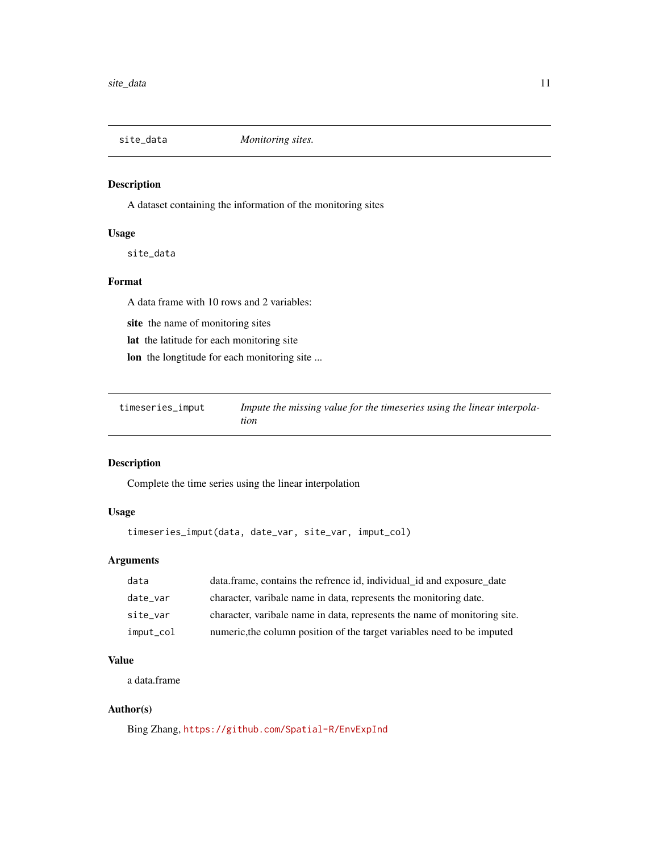<span id="page-10-0"></span>

#### Description

A dataset containing the information of the monitoring sites

#### Usage

site\_data

#### Format

A data frame with 10 rows and 2 variables:

site the name of monitoring sites

lat the latitude for each monitoring site

lon the longtitude for each monitoring site ...

timeseries\_imput *Impute the missing value for the timeseries using the linear interpolation*

#### Description

Complete the time series using the linear interpolation

#### Usage

timeseries\_imput(data, date\_var, site\_var, imput\_col)

#### Arguments

| data      | data.frame, contains the refrence id, individual id and exposure date     |
|-----------|---------------------------------------------------------------------------|
| date_var  | character, varibale name in data, represents the monitoring date.         |
| site var  | character, varibale name in data, represents the name of monitoring site. |
| imput_col | numeric, the column position of the target variables need to be imputed   |

#### Value

a data.frame

#### Author(s)

Bing Zhang, <https://github.com/Spatial-R/EnvExpInd>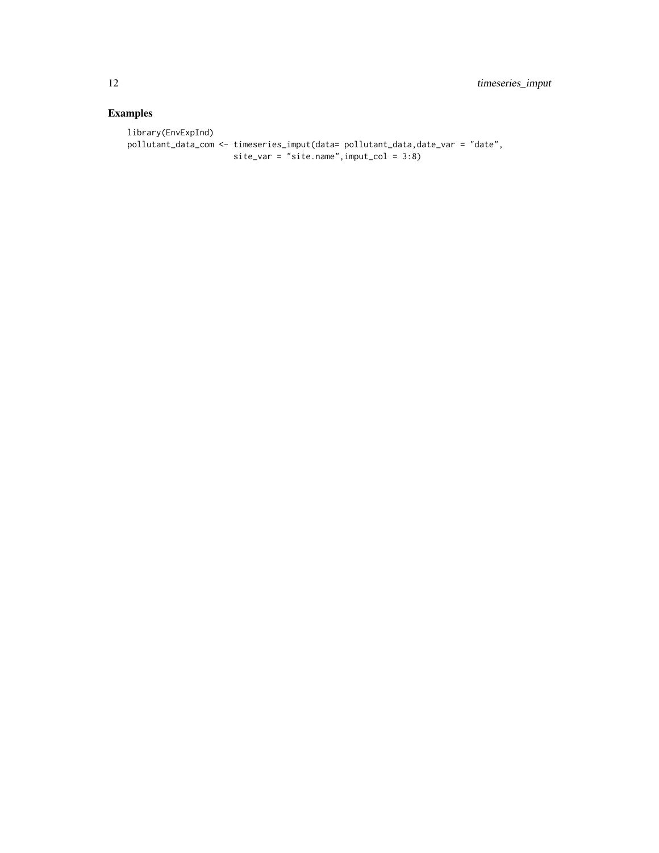```
library(EnvExpInd)
pollutant_data_com <- timeseries_imput(data= pollutant_data,date_var = "date",
                      site_var = "site.name",imput_col = 3:8)
```